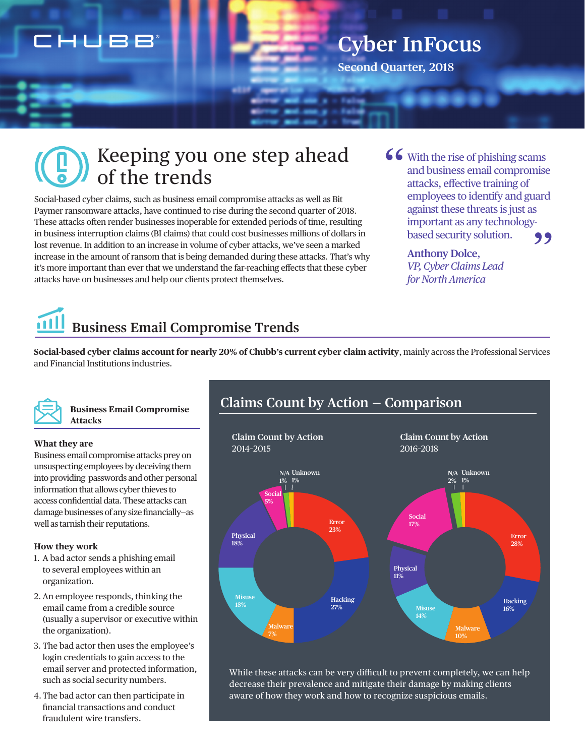## CHUBB

# **Cyber InFocus**

**Second Quarter, 2018**

## Keeping you one step ahead of the trends

Social-based cyber claims, such as business email compromise attacks as well as Bit Paymer ransomware attacks, have continued to rise during the second quarter of 2018. These attacks often render businesses inoperable for extended periods of time, resulting in business interruption claims (BI claims) that could cost businesses millions of dollars in lost revenue. In addition to an increase in volume of cyber attacks, we've seen a marked increase in the amount of ransom that is being demanded during these attacks. That's why it's more important than ever that we understand the far-reaching effects that these cyber attacks have on businesses and help our clients protect themselves.

With the rise of phishing scams and business email compromise attacks, effective training of employees to identify and guard against these threats is just as important as any technologybased security solution. " ,,

#### **Anthony Dolce**, *VP, Cyber Claims Lead for North America*

# **Business Email Compromise Trends**

**Social-based cyber claims account for nearly 20% of Chubb's current cyber claim activity**, mainly across the Professional Services and Financial Institutions industries.



#### **Business Email Compromise Attacks**

#### **What they are**

Business email compromise attacks prey on unsuspecting employees by deceiving them into providing passwords and other personal information that allows cyber thieves to access confidential data. These attacks can damage businesses of any size financially—as well as tarnish their reputations.

#### **How they work**

- 1. A bad actor sends a phishing email to several employees within an organization.
- 2. An employee responds, thinking the email came from a credible source (usually a supervisor or executive within the organization).
- 3. The bad actor then uses the employee's login credentials to gain access to the email server and protected information, such as social security numbers.
- 4.The bad actor can then participate in financial transactions and conduct fraudulent wire transfers.



While these attacks can be very difficult to prevent completely, we can help decrease their prevalence and mitigate their damage by making clients aware of how they work and how to recognize suspicious emails.